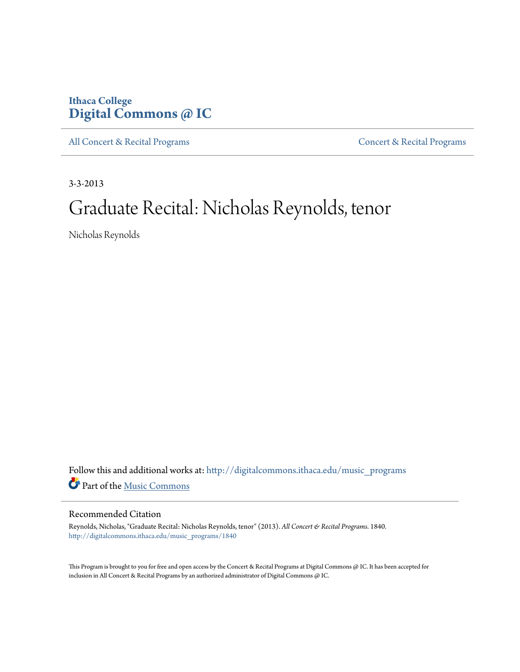# **Ithaca College [Digital Commons @ IC](http://digitalcommons.ithaca.edu?utm_source=digitalcommons.ithaca.edu%2Fmusic_programs%2F1840&utm_medium=PDF&utm_campaign=PDFCoverPages)**

[All Concert & Recital Programs](http://digitalcommons.ithaca.edu/music_programs?utm_source=digitalcommons.ithaca.edu%2Fmusic_programs%2F1840&utm_medium=PDF&utm_campaign=PDFCoverPages) **[Concert & Recital Programs](http://digitalcommons.ithaca.edu/som_programs?utm_source=digitalcommons.ithaca.edu%2Fmusic_programs%2F1840&utm_medium=PDF&utm_campaign=PDFCoverPages)** 

3-3-2013

# Graduate Recital: Nicholas Reynolds, tenor

Nicholas Reynolds

Follow this and additional works at: [http://digitalcommons.ithaca.edu/music\\_programs](http://digitalcommons.ithaca.edu/music_programs?utm_source=digitalcommons.ithaca.edu%2Fmusic_programs%2F1840&utm_medium=PDF&utm_campaign=PDFCoverPages) Part of the [Music Commons](http://network.bepress.com/hgg/discipline/518?utm_source=digitalcommons.ithaca.edu%2Fmusic_programs%2F1840&utm_medium=PDF&utm_campaign=PDFCoverPages)

## Recommended Citation

Reynolds, Nicholas, "Graduate Recital: Nicholas Reynolds, tenor" (2013). *All Concert & Recital Programs*. 1840. [http://digitalcommons.ithaca.edu/music\\_programs/1840](http://digitalcommons.ithaca.edu/music_programs/1840?utm_source=digitalcommons.ithaca.edu%2Fmusic_programs%2F1840&utm_medium=PDF&utm_campaign=PDFCoverPages)

This Program is brought to you for free and open access by the Concert & Recital Programs at Digital Commons @ IC. It has been accepted for inclusion in All Concert & Recital Programs by an authorized administrator of Digital Commons @ IC.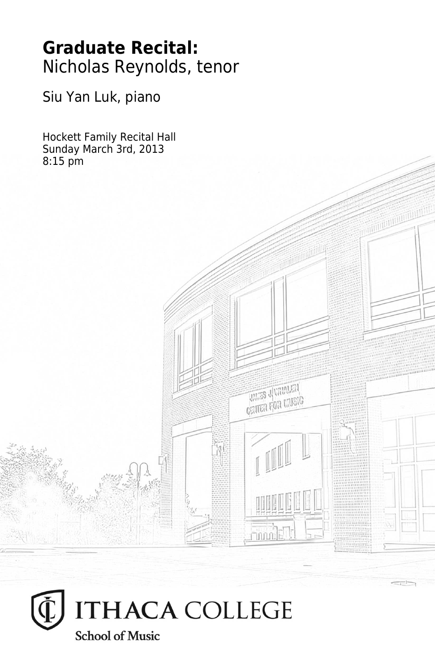# **Graduate Recital:** Nicholas Reynolds, tenor

Siu Yan Luk, piano

Hockett Family Recital Hall Sunday March 3rd, 2013 8:15 pm



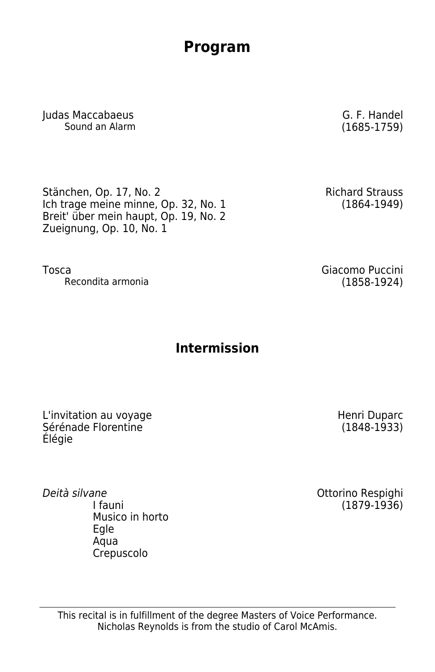This recital is in fulfillment of the degree Masters of Voice Performance. Nicholas Reynolds is from the studio of Carol McAmis.

## **Program**

Judas Maccabaeus G. F. Handel Sound an Alarm

Stänchen, Op. 17, No. 2 Ich trage meine minne, Op. 32, No. 1 Breit' über mein haupt, Op. 19, No. 2 Zueignung, Op. 10, No. 1

Tosca Giacomo Puccini Recondita armonia

# **Intermission**

L'invitation au voyage Sérénade Florentine Élégie

Deità silvane I fauni Musico in horto Egle Aqua Crepuscolo

Ottorino Respighi (1879-1936)

Richard Strauss (1864-1949)

Henri Duparc (1848-1933)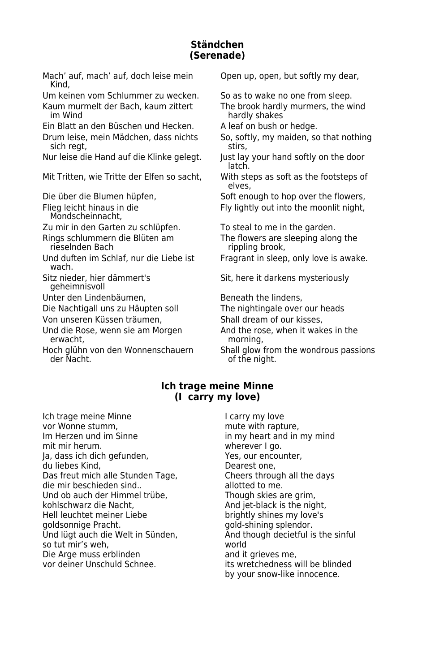#### **Ständchen (Serenade)**

Mach' auf, mach' auf, doch leise mein Open up, open, but softly my dear, Kind,

Ein Blatt an den Büschen und Hecken. Aleaf on bush or hedge.

Drum leise, mein Mädchen, dass nichts So, softly, my maiden, so that nothing sich regt, stirs,

Nur leise die Hand auf die Klinke gelegt. Just lay your hand softly on the door

Mit Tritten, wie Tritte der Elfen so sacht, With steps as soft as the footsteps of

Mondscheinnacht,

Und duften im Schlaf, nur die Liebe ist Fragrant in sleep, only love is awake. wach.

geheimnisvoll

Unter den Lindenbäumen, Beneath the lindens,

Die Nachtigall uns zu Häupten soll The nightingale over our heads

Von unseren Küssen träumen, Shall dream of our kisses,

erwacht.

Um keinen vom Schlummer zu wecken. So as to wake no one from sleep.

Kaum murmelt der Bach, kaum zittert The brook hardly murmers, the wind<br>
im Wind<br>
hardly shakes hardly shakes

latch.

elves,

Die über die Blumen hüpfen, Soft enough to hop over the flowers, Flieg leicht hinaus in die Fly lightly out into the moonlit night,

Zu mir in den Garten zu schlüpfen. To steal to me in the garden.

Rings schlummern die Blüten am The flowers are sleeping along the<br>rippling brook. rippling brook,

Sitz nieder, hier dämmert's Sit, here it darkens mysteriously

Und die Rose, wenn sie am Morgen And the rose, when it wakes in the rowacht.

Hoch glühn von den Wonnenschauern Shall glow from the wondrous passions der Nacht. of the night.

#### **Ich trage meine Minne (I carry my love)**

Ich trage meine Minne I carry my love<br>
I carry my love<br>
I carry mute with rapture with rapture with rapture with rapture with rapture with rapture with rapture with the view of the view of the view of the view of the view vor Wonne stumm,<br>
Im Herzen und im Sinne and a mute with rapture,<br>
in my heart and in mit mir herum.<br>
Ia, dass ich dich gefunden, var var var ves, our encounter, Ja, dass ich dich gefunden, du liebes Kind,<br>
Dearest one,<br>
Das freut mich alle Stunden Tage, 
Deares through all the days Das freut mich alle Stunden Tage, Cheers through all the days of the days of the days of the days of the days<br>die mir beschieden sind.. die mir beschieden sind.. Und ob auch der Himmel trübe, Though skies are grim,<br>Kohlschwarz die Nacht. Though skied and iet-black is the nig Hell leuchtet meiner Liebe<br>
aoldsonnige Pracht.<br>
aold-shining splendor. Und lügt auch die Welt in Sünden, And though decision decision of the single is the single is the singular ver<br>Single singular is the single single single single single single single single single single single single sin so tut mir's weh. Die Arge muss erblinden and it grieves me,<br>
vor deiner Unschuld Schnee.<br>
its wretchedness v

in my heart and in my mind And jet-black is the night, gold-shining splendor.<br>And though decietful is the sinful its wretchedness will be blinded by your snow-like innocence.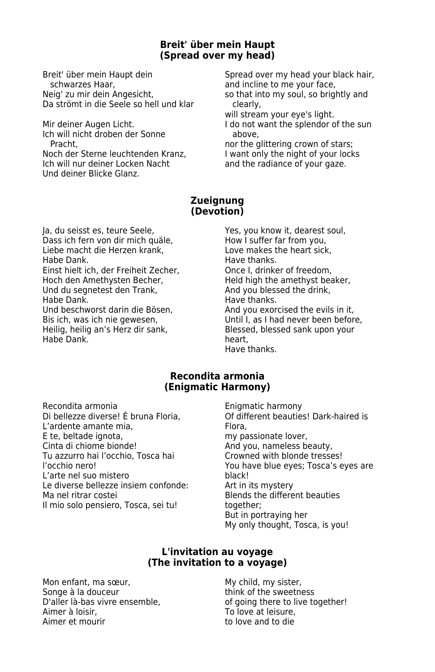#### **Breit' über mein Haupt (Spread over my head)**

schwarzes Haar, and incline to me your face, Neig' zu mir dein Angesicht, so that into my soul, so brightly and Da strömt in die Seele so hell und klar clearly,

Ich will nicht droben der Sonne above,

Ich will nur deiner Locken Nacht and the radiance of your gaze. Und deiner Blicke Glanz.

Breit' über mein Haupt dein Spread over my head your black hair,

will stream your eye's light.

Mir deiner Augen Licht. I do not want the splendor of the sun

Pracht, **nor the glittering crown of stars**; Noch der Sterne leuchtenden Kranz, I want only the night of your locks

#### **Zueignung (Devotion)**

Dass ich fern von dir mich quäle, and How I suffer far from you,<br>Liebe macht die Herzen krank. Howe makes the heart sick. Liebe macht die Herzen krank,<br>Habe Dank Einst hielt ich, der Freiheit Zecher,<br>Hoch den Amethysten Becher, Und du segnetest den Trank,<br>Habe Dank, Und beschworst darin die Bösen,<br>Bis ich, was ich nie gewesen, Habe Dank. heart,

Ja, du seisst es, teure Seele, Yes, you know it, dearest soul, Jas sich fern von dir mich quale, Yes, you know it, dearest soul, Have thanks.<br>Once I, drinker of freedom, Held high the amethyst beaker,<br>And you blessed the drink, Have thanks.<br>And you exorcised the evils in it. Bis ich, was ich nie gewesen, end alle and the Until I, as I had never been before, and the Herz dir sank, and the Blessed, blessed sank upon your Blessed, blessed sank upon your Have thanks.

#### **Recondita armonia (Enigmatic Harmony)**

Recondita armonia<br>
Di bellezze diverse! È bruna Floria. Contra enterna beautie: L'ardente amante mia, entre la compositoria del Flora, en el Flora, en el Flora, en el Flora, en el Flora, en e<br>El tel beltade ignotal de la compositoria de la provincia de la contradición de la contradición de la contradi E te, beltade ignota, my passionate lover, http://www.my passionate lover, cintal diversions of the control of<br>Cinta di chiome bionde! Tu azzurro hai l'occhio, Tosca hai<br>l'occhio nero! L'arte nel suo mistero<br>Le diverse bellezze insiem confonde: Art in its mystery Le diverse bellezze insiem confonde: Ma nel ritrar costei and the Senate Blends the different beauties and the Blends the different beauties and the B Il mio solo pensiero, Tosca, sei tu!

Of different beauties! Dark-haired is And you, nameless beauty,<br>Crowned with blonde tresses! You have blue eyes; Tosca's eyes are<br>black! But in portraying her My only thought, Tosca, is you!

#### **L'invitation au voyage (The invitation to a voyage)**

Mon enfant, ma sœur, My child, my sister, Songe à la douceur think of the sweetness Aimer à loisir, and the same and the To love at leisure, Aimer et mourir and to love and to die

D'aller là-bas vivre ensemble, of going there to live together!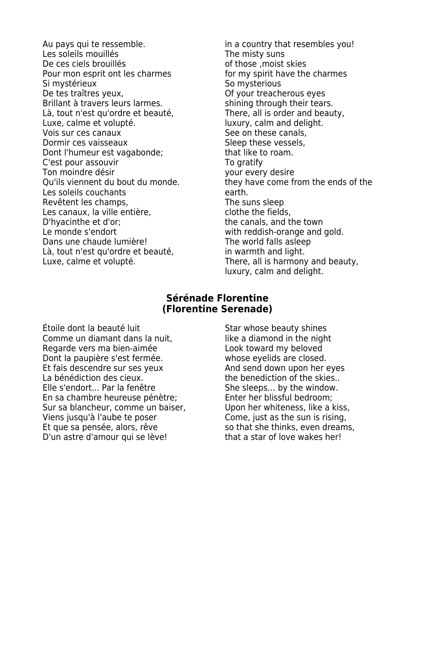Au pays qui te ressemble.  $\qquad \qquad$  in a country that resembles you! Les soleils mouillés<br>
De ces ciels brouillés<br>
De ces ciels brouillés<br>
The misty suns de those moist Pour mon esprit ont les charmes<br>Si mystérieux Si mystérieux and some Somysterious<br>
Somysterious<br>
De tes traîtres yeux, some Some Some Some Conservations Brillant à travers leurs larmes.<br>
Là, tout n'est qu'ordre et beauté, 
Sout n'est qu'ordre et beauté, 
Sout n'est qu'ordre et beauté, Là, tout n'est qu'ordre et beauté,<br>Luxe, calme et volupté, Luxe, calme et volupté.<br>
Vois sur ces canaux<br>
Vois sur ces canaux Dormir ces vaisseaux<br>
Dont l'humeur est vagabonde:<br>
Sleep that like to roam. Dont l'humeur est vagabonde;<br>
C'est pour assouvir de to roam.<br>
To gratify C'est pour assouvir<br>Ton moindre désir Ton moindre désir<br>Ou'ils viennent du bout du monde. 
your every desire<br>
they have come fi Les soleils couchants<br>
Revêtent les champs,<br>
The suns sleep Revêtent les champs, The suns sleep<br>
Les canaux, la ville entière.<br>
Clothe the fields. Les canaux, la ville entière,<br>D'hyacinthe et d'or; D'hyacinthe et d'or;<br>
Le monde s'endort entre the town with reddish-orange and Dans une chaude lumière!<br>
Là, tout n'est qu'ordre et beauté, in warmth and light. Là, tout n'est qu'ordre et beauté,<br>Luxe, calme et volupté.

of those ,moist skies<br>for my spirit have the charmes Of your treacherous eyes<br>shining through their tears. See on these canals,<br>Sleep these vessels, they have come from the ends of the with reddish-orange and gold. There, all is harmony and beauty, luxury, calm and delight.

#### **Sérénade Florentine (Florentine Serenade)**

Étoile dont la beauté luit subsetsion sous Star whose beauty shines Comme un diamant dans la nuit, like a diamond in the night Regarde vers ma bien-aimée Look toward my beloved Dont la paupière s'est fermée.<br>Et fais descendre sur ses yeux and send down upon her eyes Et fais descendre sur ses yeux La bénédiction des cieux. The benediction of the skies.. Elle s'endort... Par la fenêtre She sleeps... by the window. En sa chambre heureuse pénètre; Enter her blissful bedroom; Sur sa blancheur, comme un baiser, Upon her whiteness, like a kiss, Viens jusqu'à l'aube te poser Come, just as the sun is rising, Et que sa pensée, alors, rêve so that she thinks, even dreams, D'un astre d'amour qui se lève! that a star of love wakes her!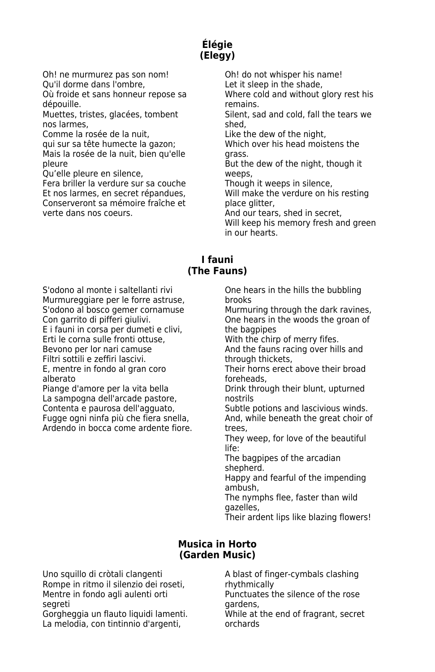### **Élégie (Elegy)**

Oh! ne murmurez pas son nom! Oh! do not whisper his name! Qu'il dorme dans l'ombre, Let it sleep in the shade,

dépouille. **Remains.** Remains.

nos larmes, shed, shed, shed, shed, shed, shed, shed, shed, shed, shed, shed, shed, shed, shed, shed, shed, shed, shed, shed, shed, shed, shed, shed, shed, shed, shed, shed, shed, shed, shed, shed, shed, shed, shed, shed,

Comme la rosée de la nuit, Like the dew of the night,

Mais la rosée de la nuit, bien qu'elle qrass. pleure **But the dew of the night, though it** But the dew of the night, though it

Qu'elle pleure en silence, weeps,

Fera briller la verdure sur sa couche Though it weeps in silence, Et nos larmes, en secret répandues, Will make the verdure on his resting Conserveront sa mémoire fraîche et place glitter, verte dans nos coeurs. And our tears, shed in secret,

Où froide et sans honneur repose sa Where cold and without glory rest his

Muettes, tristes, glacées, tombent Silent, sad and cold, fall the tears we

qui sur sa tête humecte la gazon; Which over his head moistens the

Will keep his memory fresh and green in our hearts.

#### **I fauni (The Fauns)**

S'odono al monte i saltellanti rivi **Christian Christiane en Cone** hears in the hills the bubbling Murmureggiare per le forre astruse, brooks<br>S'odono al bosco gemer cornamuse Murmu

E i fauni in corsa per dumeti e clivi,<br>Erti le corna sulle fronti ottuse. Erti le corna sulle fronti ottuse, entity are with the chirp of merry fifes.<br>Bevono per lor nari camuse entity are all all the fauns racing over hil

Filtri sottili e zeffiri lascivi.<br>E. mentre in fondo al gran coro

alberato foreheads,<br>Piange d'amore per la vita bella home brink throu La sampogna dell'arcade pastore, mostrils<br>Contenta e paurosa dell'agguato, mostrile p Contenta e paurosa dell'agguato, Subtle potions and lascivious winds.<br>Fugge ogni ninfa più che fiera snella. And, while beneath the great choir c Ardendo in bocca come ardente fiore. trees,

Murmuring through the dark ravines, Con garrito di pifferi giulivi.<br>
E i fauni in corsa per dumeti e clivi, 
the bagpipes

the bagpipes

Let i fauni in corsa per dumeti e clivi,

And the fauns racing over hills and through thickets.

E, mentre in fondo al gran coro Their horns erect above their broad alberato

Drink through their blunt, upturned

And, while beneath the great choir of

They weep, for love of the beautiful life:

The bagpipes of the arcadian shepherd.

Happy and fearful of the impending ambush,

The nymphs flee, faster than wild gazelles,

Their ardent lips like blazing flowers!

#### **Musica in Horto (Garden Music)**

Uno squillo di cròtali clangenti A blast of finger-cymbals clashing Rompe in ritmo il silenzio dei roseti, entich prithmically<br>Mentre in fondo agli aulenti orti entical primatuates the silence of the rose Mentre in fondo agli aulenti orti

Gorgheggia un flauto liquidi lamenti. While at the While at the end of the end of the end of the end of the en<br>La melodia, con tintinnio d'argenti, secretoria en orchards La melodia, con tintinnio d'argenti,

segreti<br>Gorgheggia un flauto liquidi lamenti. While at the end of fragrant, secret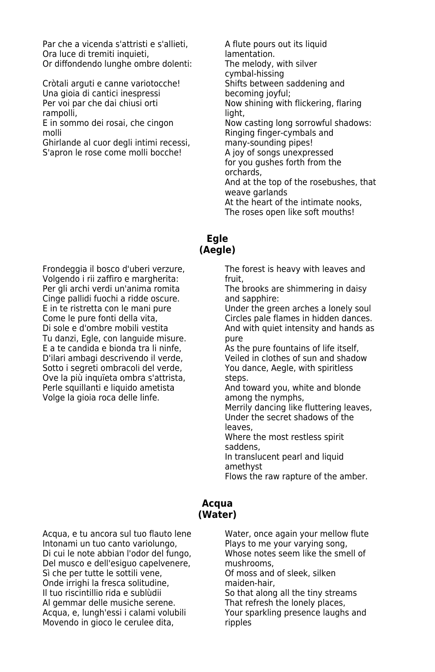Par che a vicenda s'attristi e s'allieti, A flute pours out its liquid Ora luce di tremiti inquieti,<br>Or diffondendo lunghe ombre dolenti: <br>The melody, with silver Or diffondendo lunghe ombre dolenti:

Cròtali arguti e canne variotocche! Shifts between sa Shifts between saddening in the Shifts between saddening in the United Shifts becoming joyful; Una gioia di cantici inespressi Per voi par che dai chiusi orti Now shining with flickering, flaring rampolli, light,

Ghirlande al cuor degli intimi recessi, many-sounding pipes!<br>S'apron le rose come molli bocche! A joy of songs unexpressed S'apron le rose come molli bocche!

cymbal-hissing<br>Shifts between saddening and Now casting long sorrowful shadows: molli Ringing finger-cymbals and<br>Ghirlande al cuor degli intimi recessi, many-sounding pipes! for you gushes forth from the orchards, And at the top of the rosebushes, that weave garlands At the heart of the intimate nooks, The roses open like soft mouths!

#### **Egle (Aegle)**

Frondeggia il bosco d'uberi verzure, The forest is heavy with leaves and Volgendo i rii zaffiro e margherita: fruit, Per gli archi verdi un'anima romita The brooks are shimmering in daisy Cinge pallidi fuochi a ridde oscure. The and sapphire: E in te ristretta con le mani pure Under the green arches a lonely soul Tu danzi, Egle, con languide misure. pure E a te candida e bionda tra li ninfe, As the pure fountains of life itself, D'ilari ambagi descrivendo il verde, Veiled in clothes of sun and shadow Sotto i segreti ombracoli del verde, you dance, Aegle, with spiritless Ove la più inquïeta ombra s'attrista, steps. Perle squillanti e liquido ametista And toward you, white and blonde Volge la gioia roca delle linfe. The samong the nymphs,

Come le pure fonti della vita, Circles pale flames in hidden dances. Di sole e d'ombre mobili vestita And with quiet intensity and hands as

Merrily dancing like fluttering leaves, Under the secret shadows of the leaves,

Where the most restless spirit saddens,

In translucent pearl and liquid amethyst

Flows the raw rapture of the amber.

#### **Acqua (Water)**

Acqua, e tu ancora sul tuo flauto lene Water, once again your mellow flute<br>
Intonami un tuo canto variolungo, Plays to me your varying song, Intonami un tuo canto variolungo, Plays to me your varying song,<br>Di cui le note abbian l'odor del fungo. Nhose notes seem like the smell of Di cui le note abbian l'odor del fungo, Del musco e dell'esiguo capelvenere, mushrooms,<br>Sì che per tutte le sottili vene, on Dof moss and of sleek, silken Sì che per tutte le sottili vene, Silomoss and Of moss and Of moss and Silvene in the sleep.<br>Silomos and the sleep of the silken maiden-hair. Onde irrighi la fresca solitudine,<br>Il tuo riscintillio rida e sublùdii Al gemmar delle musiche serene. That refresh the lonely places,<br>Acqua, e, lungh'essi i calami volubili Your sparkling presence laughs and Acqua, e, lungh'essi i calami volubili Movendo in gioco le cerulee dita, metallie pripples

So that along all the tiny streams<br>That refresh the lonely places,